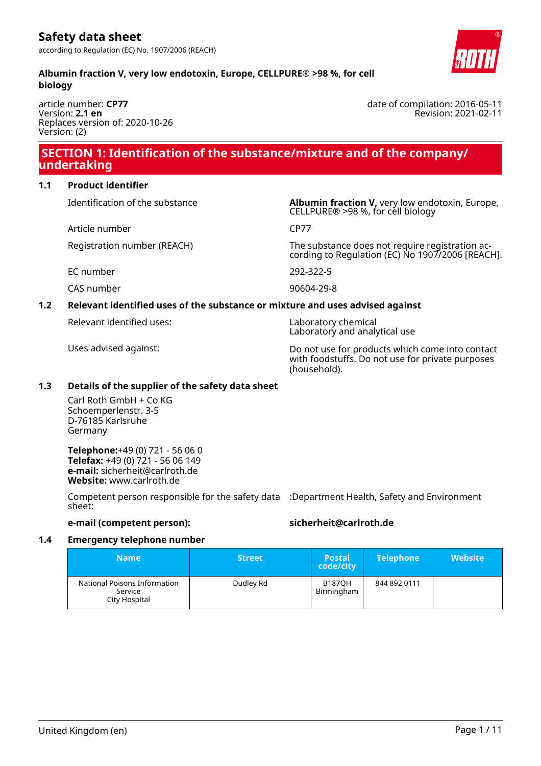**Albumin fraction V, very low endotoxin, Europe, CELLPURE® >98 %, for cell**



article number: **CP77** Version: **2.1 en** Replaces version of: 2020-10-26 Version: (2)

### **SECTION 1: Identification of the substance/mixture and of the company/ undertaking**

### **1.1 Product identifier**

Article number CP77

Identification of the substance **Albumin fraction V**, very low endotoxin, Europe, CELLPURE® >98 %, for cell biology

Registration number (REACH) The substance does not require registration according to Regulation (EC) No 1907/2006 [REACH].

EC number 292-322-5

CAS number 90604-29-8

### **1.2 Relevant identified uses of the substance or mixture and uses advised against**

Relevant identified uses: Laboratory chemical

Laboratory and analytical use

Uses advised against: Do not use for products which come into contact with foodstuffs. Do not use for private purposes (household).

### **1.3 Details of the supplier of the safety data sheet**

Carl Roth GmbH + Co KG Schoemperlenstr. 3-5 D-76185 Karlsruhe Germany

**Telephone:**+49 (0) 721 - 56 06 0 **Telefax:** +49 (0) 721 - 56 06 149 **e-mail:** sicherheit@carlroth.de **Website:** www.carlroth.de

Competent person responsible for the safety data :Department Health, Safety and Environment sheet:

**e-mail (competent person): sicherheit@carlroth.de**

### **1.4 Emergency telephone number**

| Name                                                     | <b>Street</b> | <b>Postal</b><br>code/city  | <b>Telephone</b> | <b>Website</b> |
|----------------------------------------------------------|---------------|-----------------------------|------------------|----------------|
| National Poisons Information<br>Service<br>City Hospital | Dudley Rd     | <b>B187OH</b><br>Birmingham | 844 892 0111     |                |

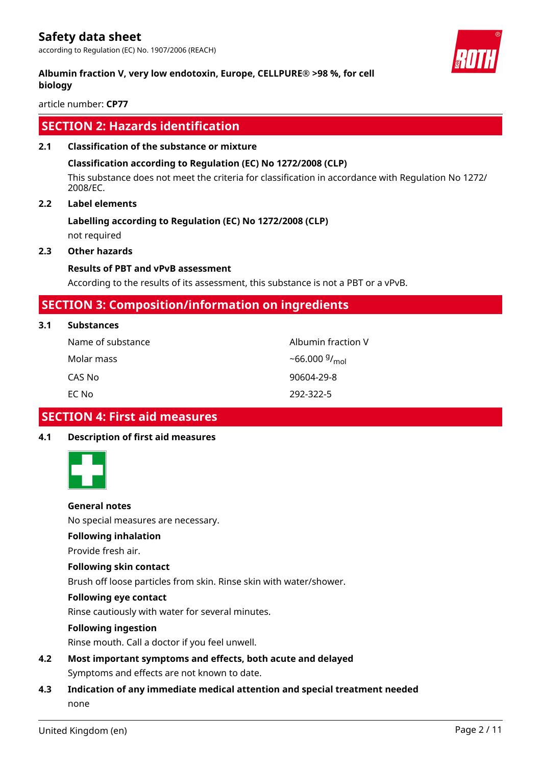according to Regulation (EC) No. 1907/2006 (REACH)

### **Albumin fraction V, very low endotoxin, Europe, CELLPURE® >98 %, for cell biology**

article number: **CP77**

### **SECTION 2: Hazards identification**

### **2.1 Classification of the substance or mixture**

### **Classification according to Regulation (EC) No 1272/2008 (CLP)**

This substance does not meet the criteria for classification in accordance with Regulation No 1272/ 2008/EC.

### **2.2 Label elements**

### **Labelling according to Regulation (EC) No 1272/2008 (CLP)**

not required

### **2.3 Other hazards**

### **Results of PBT and vPvB assessment**

According to the results of its assessment, this substance is not a PBT or a vPvB.

### **SECTION 3: Composition/information on ingredients**

| 3.1<br><b>Substances</b> |  |
|--------------------------|--|
|--------------------------|--|

| Name of substance | Albumin fraction V |
|-------------------|--------------------|
| Molar mass        | $~56.000~9/_{mol}$ |
| CAS No            | 90604-29-8         |
| EC Nol            | 292-322-5          |

### **SECTION 4: First aid measures**

### **4.1 Description of first aid measures**



### **General notes**

No special measures are necessary.

### **Following inhalation**

Provide fresh air.

#### **Following skin contact**

Brush off loose particles from skin. Rinse skin with water/shower.

#### **Following eye contact**

Rinse cautiously with water for several minutes.

### **Following ingestion**

Rinse mouth. Call a doctor if you feel unwell.

- **4.2 Most important symptoms and effects, both acute and delayed** Symptoms and effects are not known to date.
- **4.3 Indication of any immediate medical attention and special treatment needed** none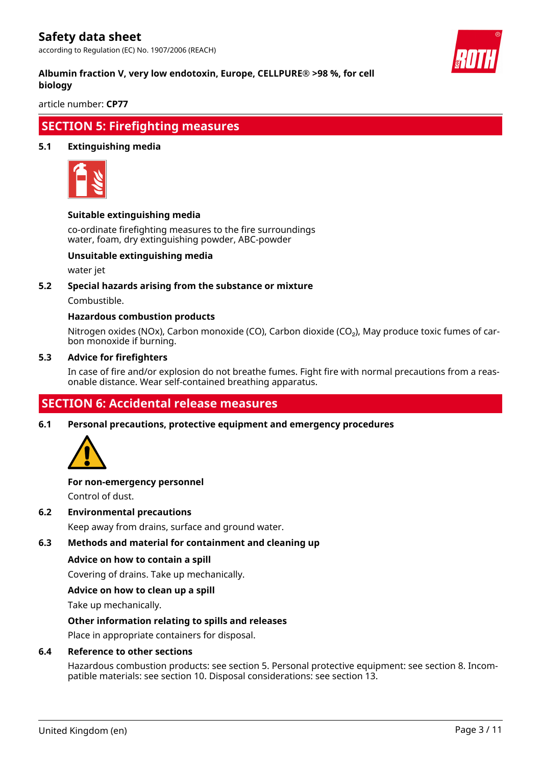according to Regulation (EC) No. 1907/2006 (REACH)



### **Albumin fraction V, very low endotoxin, Europe, CELLPURE® >98 %, for cell biology**

article number: **CP77**

### **SECTION 5: Firefighting measures**

### **5.1 Extinguishing media**



### **Suitable extinguishing media**

co-ordinate firefighting measures to the fire surroundings water, foam, dry extinguishing powder, ABC-powder

### **Unsuitable extinguishing media**

water jet

### **5.2 Special hazards arising from the substance or mixture**

Combustible.

### **Hazardous combustion products**

Nitrogen oxides (NOx), Carbon monoxide (CO), Carbon dioxide (CO₂), May produce toxic fumes of carbon monoxide if burning.

#### **5.3 Advice for firefighters**

In case of fire and/or explosion do not breathe fumes. Fight fire with normal precautions from a reasonable distance. Wear self-contained breathing apparatus.

### **SECTION 6: Accidental release measures**

**6.1 Personal precautions, protective equipment and emergency procedures**



### **For non-emergency personnel**

Control of dust.

### **6.2 Environmental precautions**

Keep away from drains, surface and ground water.

### **6.3 Methods and material for containment and cleaning up**

### **Advice on how to contain a spill**

Covering of drains. Take up mechanically.

### **Advice on how to clean up a spill**

Take up mechanically.

### **Other information relating to spills and releases**

Place in appropriate containers for disposal.

### **6.4 Reference to other sections**

Hazardous combustion products: see section 5. Personal protective equipment: see section 8. Incompatible materials: see section 10. Disposal considerations: see section 13.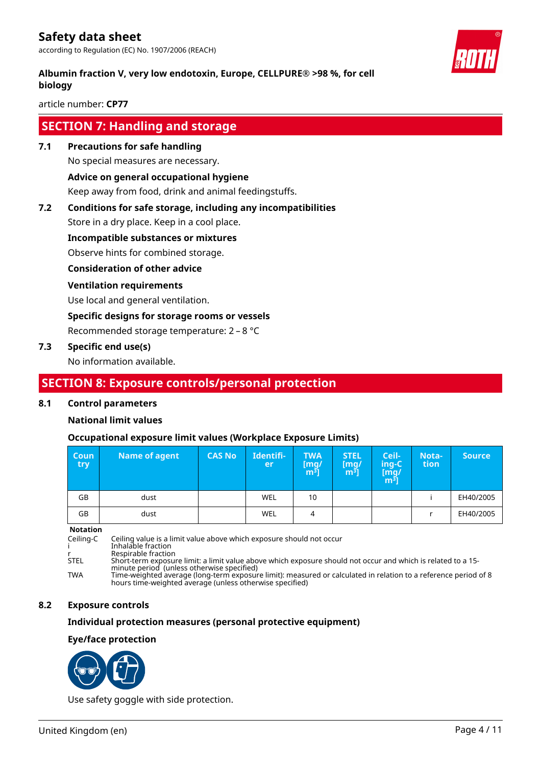according to Regulation (EC) No. 1907/2006 (REACH)

### **Albumin fraction V, very low endotoxin, Europe, CELLPURE® >98 %, for cell biology**

article number: **CP77**

### **SECTION 7: Handling and storage**

**7.1 Precautions for safe handling**

No special measures are necessary.

### **Advice on general occupational hygiene**

Keep away from food, drink and animal feedingstuffs.

### **7.2 Conditions for safe storage, including any incompatibilities**

Store in a dry place. Keep in a cool place.

### **Incompatible substances or mixtures**

Observe hints for combined storage.

### **Consideration of other advice**

### **Ventilation requirements**

Use local and general ventilation.

### **Specific designs for storage rooms or vessels**

Recommended storage temperature: 2 – 8 °C

### **7.3 Specific end use(s)**

No information available.

### **SECTION 8: Exposure controls/personal protection**

### **8.1 Control parameters**

### **National limit values**

### **Occupational exposure limit values (Workplace Exposure Limits)**

| <b>Coun</b><br>try | Name of agent | <b>CAS No</b> | Identifi-<br>er | <b>TWA</b><br>[mg/<br>m <sup>3</sup> | <b>STEL</b><br>[mq/<br>m <sup>3</sup> | Ceil-<br>ing-C<br>[mg/<br>m <sup>ɜ</sup> ] | Nota-<br>tion | <b>Source</b> |
|--------------------|---------------|---------------|-----------------|--------------------------------------|---------------------------------------|--------------------------------------------|---------------|---------------|
| GB                 | dust          |               | WEL             | 10                                   |                                       |                                            |               | EH40/2005     |
| GB                 | dust          |               | WEL             | 4                                    |                                       |                                            |               | EH40/2005     |

**Notation**

Ceiling-C Ceiling value is a limit value above which exposure should not occur

i Inhalable fraction

r Respirable fraction<br>Short-term exposure Short-term exposure limit: a limit value above which exposure should not occur and which is related to a 15minute period (unless otherwise specified)

TWA Time-weighted average (long-term exposure limit): measured or calculated in relation to a reference period of 8 hours time-weighted average (unless otherwise specified)

### **8.2 Exposure controls**

### **Individual protection measures (personal protective equipment)**

### **Eye/face protection**



Use safety goggle with side protection.

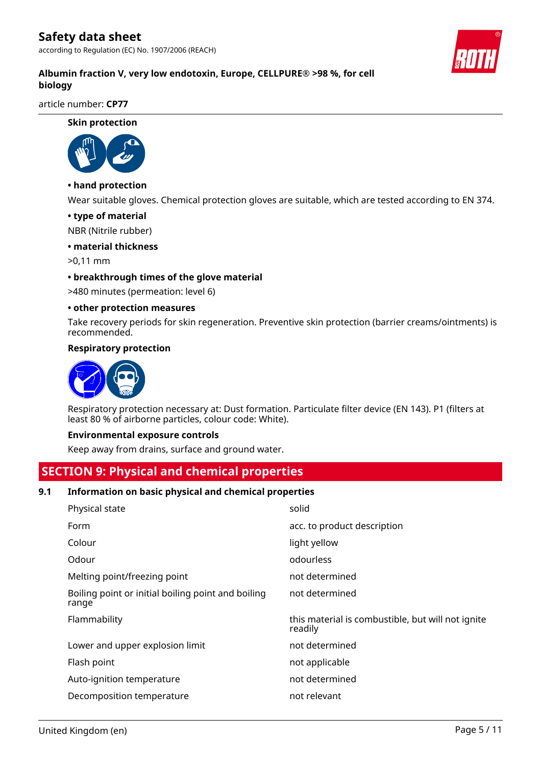according to Regulation (EC) No. 1907/2006 (REACH)



article number: **CP77**

**Skin protection**



### **• hand protection**

Wear suitable gloves. Chemical protection gloves are suitable, which are tested according to EN 374.

#### **• type of material**

NBR (Nitrile rubber)

### **• material thickness**

>0,11 mm

#### **• breakthrough times of the glove material**

>480 minutes (permeation: level 6)

#### **• other protection measures**

Take recovery periods for skin regeneration. Preventive skin protection (barrier creams/ointments) is recommended.

#### **Respiratory protection**



Respiratory protection necessary at: Dust formation. Particulate filter device (EN 143). P1 (filters at least 80 % of airborne particles, colour code: White).

#### **Environmental exposure controls**

Keep away from drains, surface and ground water.

### **SECTION 9: Physical and chemical properties**

### **9.1 Information on basic physical and chemical properties**

| Physical state                                              | solid                                                        |
|-------------------------------------------------------------|--------------------------------------------------------------|
| Form                                                        | acc. to product description                                  |
| Colour                                                      | light yellow                                                 |
| Odour                                                       | odourless                                                    |
| Melting point/freezing point                                | not determined                                               |
| Boiling point or initial boiling point and boiling<br>range | not determined                                               |
|                                                             |                                                              |
| Flammability                                                | this material is combustible, but will not ignite<br>readily |
| Lower and upper explosion limit                             | not determined                                               |
| Flash point                                                 | not applicable                                               |
| Auto-ignition temperature                                   | not determined                                               |
| Decomposition temperature                                   | not relevant                                                 |

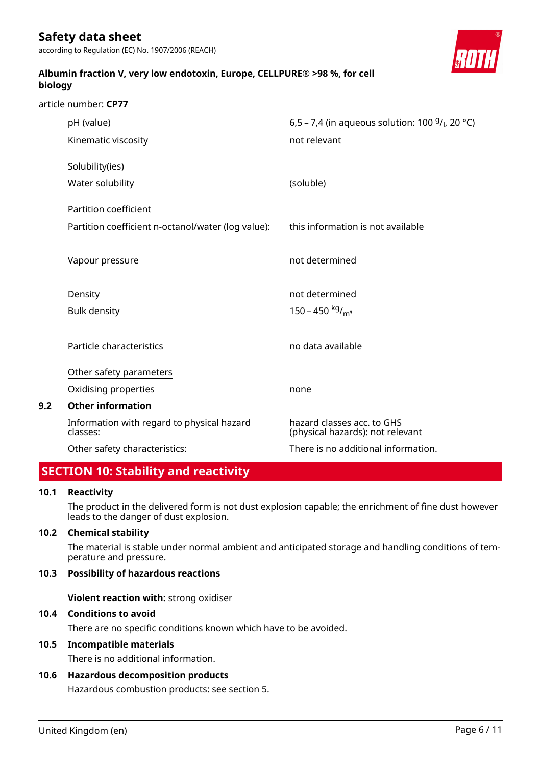according to Regulation (EC) No. 1907/2006 (REACH)



### **Albumin fraction V, very low endotoxin, Europe, CELLPURE® >98 %, for cell biology**

article number: **CP77**

|     | pH (value)                                             | 6,5 – 7,4 (in aqueous solution: 100 $9/$ , 20 °C)              |
|-----|--------------------------------------------------------|----------------------------------------------------------------|
|     | Kinematic viscosity                                    | not relevant                                                   |
|     | Solubility(ies)                                        |                                                                |
|     | Water solubility                                       | (soluble)                                                      |
|     | Partition coefficient                                  |                                                                |
|     | Partition coefficient n-octanol/water (log value):     | this information is not available                              |
|     | Vapour pressure                                        | not determined                                                 |
|     | Density                                                | not determined                                                 |
|     | <b>Bulk density</b>                                    | 150 – 450 kg/m <sup>3</sup>                                    |
|     | Particle characteristics                               | no data available                                              |
|     | Other safety parameters                                |                                                                |
|     | Oxidising properties                                   | none                                                           |
| 9.2 | <b>Other information</b>                               |                                                                |
|     | Information with regard to physical hazard<br>classes: | hazard classes acc. to GHS<br>(physical hazards): not relevant |
|     | Other safety characteristics:                          | There is no additional information.                            |

### **SECTION 10: Stability and reactivity**

### **10.1 Reactivity**

The product in the delivered form is not dust explosion capable; the enrichment of fine dust however leads to the danger of dust explosion.

### **10.2 Chemical stability**

The material is stable under normal ambient and anticipated storage and handling conditions of temperature and pressure.

### **10.3 Possibility of hazardous reactions**

**Violent reaction with:** strong oxidiser

### **10.4 Conditions to avoid**

There are no specific conditions known which have to be avoided.

### **10.5 Incompatible materials**

There is no additional information.

### **10.6 Hazardous decomposition products**

Hazardous combustion products: see section 5.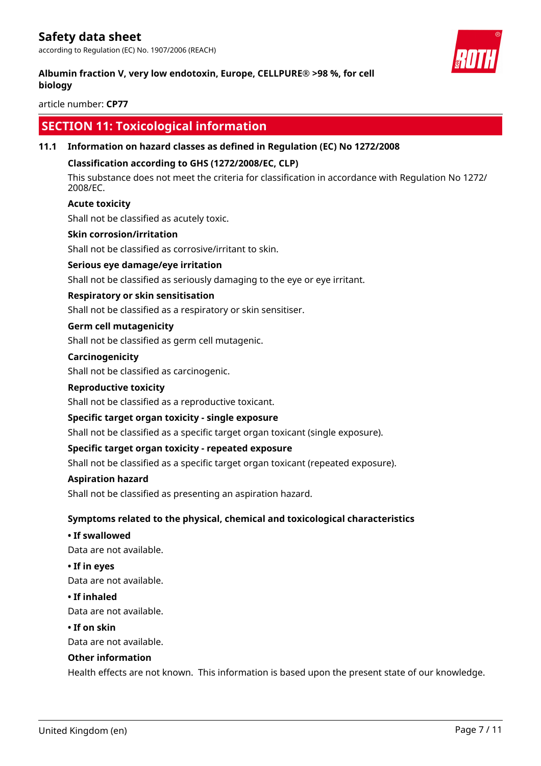according to Regulation (EC) No. 1907/2006 (REACH)

### **Albumin fraction V, very low endotoxin, Europe, CELLPURE® >98 %, for cell biology**

article number: **CP77**

### **SECTION 11: Toxicological information**

### **11.1 Information on hazard classes as defined in Regulation (EC) No 1272/2008**

### **Classification according to GHS (1272/2008/EC, CLP)**

This substance does not meet the criteria for classification in accordance with Regulation No 1272/ 2008/EC.

### **Acute toxicity**

Shall not be classified as acutely toxic.

#### **Skin corrosion/irritation**

Shall not be classified as corrosive/irritant to skin.

### **Serious eye damage/eye irritation**

Shall not be classified as seriously damaging to the eye or eye irritant.

### **Respiratory or skin sensitisation**

Shall not be classified as a respiratory or skin sensitiser.

#### **Germ cell mutagenicity**

Shall not be classified as germ cell mutagenic.

#### **Carcinogenicity**

Shall not be classified as carcinogenic.

#### **Reproductive toxicity**

Shall not be classified as a reproductive toxicant.

### **Specific target organ toxicity - single exposure**

Shall not be classified as a specific target organ toxicant (single exposure).

### **Specific target organ toxicity - repeated exposure**

Shall not be classified as a specific target organ toxicant (repeated exposure).

#### **Aspiration hazard**

Shall not be classified as presenting an aspiration hazard.

### **Symptoms related to the physical, chemical and toxicological characteristics**

#### **• If swallowed**

Data are not available.

**• If in eyes**

Data are not available.

#### **• If inhaled**

Data are not available.

#### **• If on skin**

Data are not available.

### **Other information**

Health effects are not known. This information is based upon the present state of our knowledge.

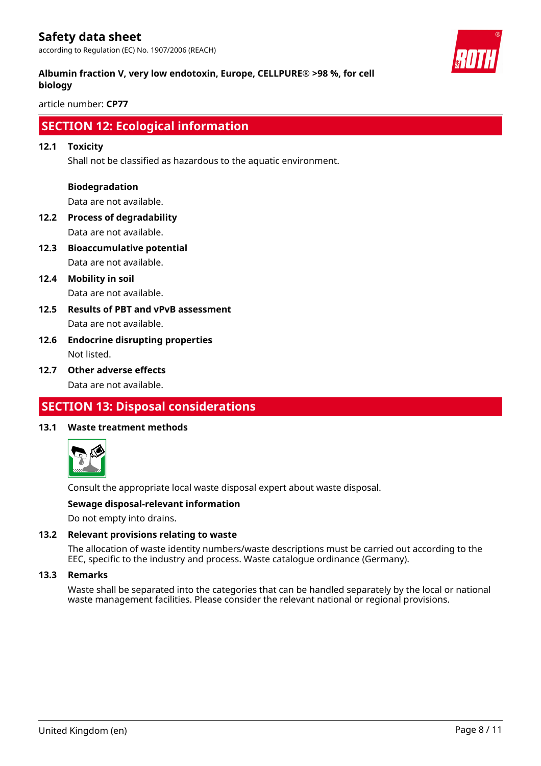according to Regulation (EC) No. 1907/2006 (REACH)

### **Albumin fraction V, very low endotoxin, Europe, CELLPURE® >98 %, for cell biology**

article number: **CP77**

### **SECTION 12: Ecological information**

### **12.1 Toxicity**

Shall not be classified as hazardous to the aquatic environment.

### **Biodegradation**

Data are not available.

- **12.2 Process of degradability** Data are not available.
- **12.3 Bioaccumulative potential** Data are not available.
- **12.4 Mobility in soil** Data are not available.
- **12.5 Results of PBT and vPvB assessment** Data are not available.
- **12.6 Endocrine disrupting properties** Not listed.
- **12.7 Other adverse effects** Data are not available.

### **SECTION 13: Disposal considerations**

### **13.1 Waste treatment methods**



Consult the appropriate local waste disposal expert about waste disposal.

### **Sewage disposal-relevant information**

Do not empty into drains.

### **13.2 Relevant provisions relating to waste**

The allocation of waste identity numbers/waste descriptions must be carried out according to the EEC, specific to the industry and process. Waste catalogue ordinance (Germany).

### **13.3 Remarks**

Waste shall be separated into the categories that can be handled separately by the local or national waste management facilities. Please consider the relevant national or regional provisions.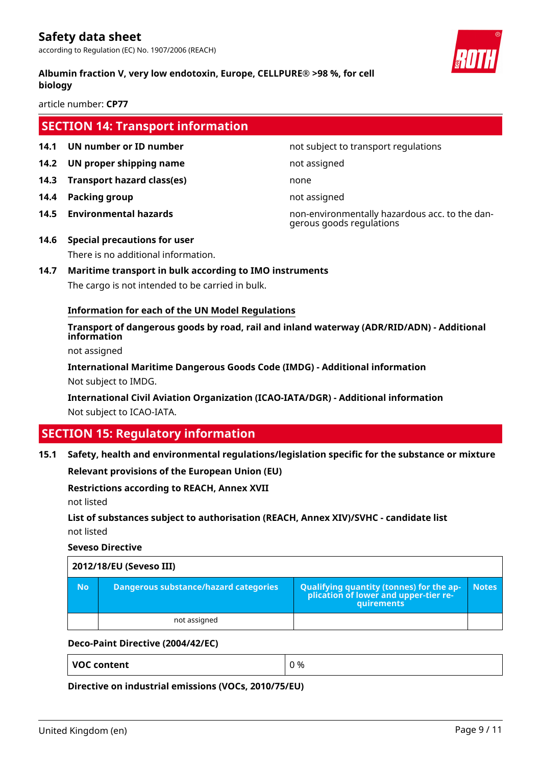according to Regulation (EC) No. 1907/2006 (REACH)

### **Albumin fraction V, very low endotoxin, Europe, CELLPURE® >98 %, for cell biology**

article number: **CP77**

### **SECTION 14: Transport information**

- **14.1 UN number or ID number 12.1 14.1 UN number not subject to transport regulations**
- **14.2 UN proper shipping name** not assigned
- **14.3 Transport hazard class(es)** none
- **14.4 Packing group not assigned**
- 

**14.5 Environmental hazards** non-environmentally hazardous acc. to the dangerous goods regulations

- **14.6 Special precautions for user** There is no additional information.
- **14.7 Maritime transport in bulk according to IMO instruments** The cargo is not intended to be carried in bulk.

### **Information for each of the UN Model Regulations**

**Transport of dangerous goods by road, rail and inland waterway (ADR/RID/ADN) - Additional information**

not assigned

**International Maritime Dangerous Goods Code (IMDG) - Additional information** Not subject to IMDG.

**International Civil Aviation Organization (ICAO-IATA/DGR) - Additional information** Not subject to ICAO-IATA.

### **SECTION 15: Regulatory information**

**15.1 Safety, health and environmental regulations/legislation specific for the substance or mixture**

**Relevant provisions of the European Union (EU)**

### **Restrictions according to REACH, Annex XVII**

not listed

**List of substances subject to authorisation (REACH, Annex XIV)/SVHC - candidate list** not listed

**Seveso Directive**

| 2012/18/EU (Seveso III) |                                       |                                                                                            |              |  |  |
|-------------------------|---------------------------------------|--------------------------------------------------------------------------------------------|--------------|--|--|
| No.                     | Dangerous substance/hazard categories | Qualifying quantity (tonnes) for the application of lower and upper-tier re-<br>quirements | <b>Notes</b> |  |  |
|                         | not assigned                          |                                                                                            |              |  |  |

### **Deco-Paint Directive (2004/42/EC)**

**VOC content**  $\begin{array}{ccc} \n\sqrt{0} & \sqrt{0} & \sqrt{0} & \sqrt{0} & \sqrt{0} & \sqrt{0} & \sqrt{0} & \sqrt{0} & \sqrt{0} & \sqrt{0} & \sqrt{0} & \sqrt{0} & \sqrt{0} & \sqrt{0} & \sqrt{0} & \sqrt{0} & \sqrt{0} & \sqrt{0} & \sqrt{0} & \sqrt{0} & \sqrt{0} & \sqrt{0} & \sqrt{0} & \sqrt{0} & \sqrt{0} & \sqrt{0} & \sqrt{0} & \sqrt{0} & \sqrt{0} & \sqrt{0} & \sqrt{0} & \sqrt{0} & \sqrt{0} &$ 

**Directive on industrial emissions (VOCs, 2010/75/EU)**

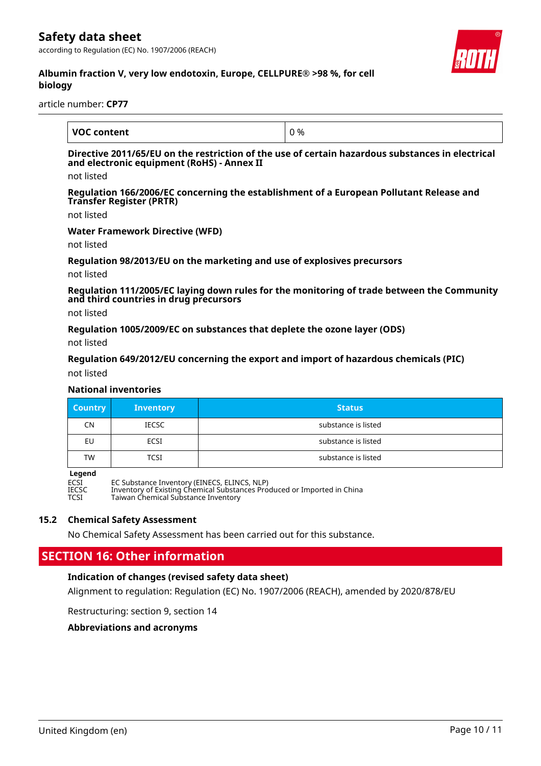according to Regulation (EC) No. 1907/2006 (REACH)



### **Albumin fraction V, very low endotoxin, Europe, CELLPURE® >98 %, for cell biology**

article number: **CP77**

| <b>VOC content</b> | ) % |
|--------------------|-----|

### **Directive 2011/65/EU on the restriction of the use of certain hazardous substances in electrical and electronic equipment (RoHS) - Annex II**

not listed

**Regulation 166/2006/EC concerning the establishment of a European Pollutant Release and Transfer Register (PRTR)**

not listed

#### **Water Framework Directive (WFD)**

not listed

#### **Regulation 98/2013/EU on the marketing and use of explosives precursors**

not listed

**Regulation 111/2005/EC laying down rules for the monitoring of trade between the Community and third countries in drug precursors**

not listed

**Regulation 1005/2009/EC on substances that deplete the ozone layer (ODS)**

not listed

#### **Regulation 649/2012/EU concerning the export and import of hazardous chemicals (PIC)**

not listed

#### **National inventories**

| <b>Country</b> | <b>Inventory</b> | <b>Status</b>       |
|----------------|------------------|---------------------|
| CN             | <b>IECSC</b>     | substance is listed |
| EU             | ECSI             | substance is listed |
| <b>TW</b>      | TCSI             | substance is listed |

**Legend**<br>ECSI<br>IECSC ECSI EC Substance Inventory (EINECS, ELINCS, NLP) IECSC Inventory of Existing Chemical Substances Produced or Imported in China TCSI Taiwan Chemical Substance Inventory

### **15.2 Chemical Safety Assessment**

No Chemical Safety Assessment has been carried out for this substance.

### **SECTION 16: Other information**

### **Indication of changes (revised safety data sheet)**

Alignment to regulation: Regulation (EC) No. 1907/2006 (REACH), amended by 2020/878/EU

Restructuring: section 9, section 14

**Abbreviations and acronyms**